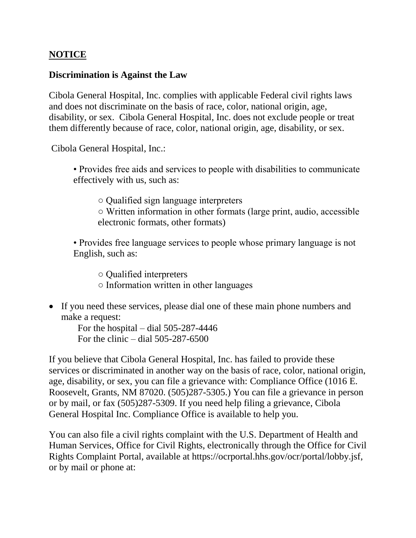## **NOTICE**

## **Discrimination is Against the Law**

Cibola General Hospital, Inc. complies with applicable Federal civil rights laws and does not discriminate on the basis of race, color, national origin, age, disability, or sex. Cibola General Hospital, Inc. does not exclude people or treat them differently because of race, color, national origin, age, disability, or sex.

Cibola General Hospital, Inc.:

• Provides free aids and services to people with disabilities to communicate effectively with us, such as:

○ Qualified sign language interpreters ○ Written information in other formats (large print, audio, accessible electronic formats, other formats)

• Provides free language services to people whose primary language is not English, such as:

○ Qualified interpreters

- Information written in other languages
- If you need these services, please dial one of these main phone numbers and make a request:

 For the hospital – dial 505-287-4446 For the clinic – dial 505-287-6500

If you believe that Cibola General Hospital, Inc. has failed to provide these services or discriminated in another way on the basis of race, color, national origin, age, disability, or sex, you can file a grievance with: Compliance Office (1016 E. Roosevelt, Grants, NM 87020. (505)287-5305.) You can file a grievance in person or by mail, or fax (505)287-5309. If you need help filing a grievance, Cibola General Hospital Inc. Compliance Office is available to help you.

You can also file a civil rights complaint with the U.S. Department of Health and Human Services, Office for Civil Rights, electronically through the Office for Civil Rights Complaint Portal, available at https://ocrportal.hhs.gov/ocr/portal/lobby.jsf, or by mail or phone at: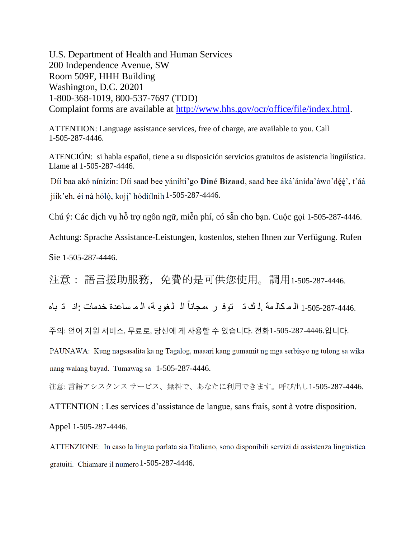U.S. Department of Health and Human Services 200 Independence Avenue, SW Room 509F, HHH Building Washington, D.C. 20201 1-800-368-1019, 800-537-7697 (TDD) Complaint forms are available at [http://www.hhs.gov/ocr/office/file/index.html.](http://www.hhs.gov/ocr/office/file/index.html)

ATTENTION: Language assistance services, free of charge, are available to you. Call 1-505-287-4446.

ATENCIÓN: si habla español, tiene a su disposición servicios gratuitos de asistencia lingüística. Llame al 1-505-287-4446.

Díí baa akó nínízin: Díí saad bee yánílti'go **Diné Bizaad**, saad bee áká'ánída'áwo'déé', t'áá jiik'eh, éi ná hóló, koji' hódíilnih 1-505-287-4446.

Chú ý: Các dịch vụ hỗ trợ ngôn ngữ, miễn phí, có sẵn cho bạn. Cuộc gọi 1-505-287-4446.

Achtung: Sprache Assistance-Leistungen, kostenlos, stehen Ihnen zur Verfügung. Rufen

Sie 1-505-287-4446.

注意: 語言援助服務,免費的是可供您使用。調用1-505-287-4446.

ال لغوي ة، ال م ساعدة خدمات :ان ت باه 1-505-287-4446. ال م كال مة .ل ك ت توف ر ،م انا ج

주의: 언어 지원 서비스, 무료로, 당신에 게 사용할 수 있습니다. 전화1-505-287-4446.입니다.

PAUNAWA: Kung nagsasalita ka ng Tagalog, maaari kang gumamit ng mga serbisyo ng tulong sa wika nang walang bayad. Tumawag sa 11-505-287-4446.

注意: 言語アシスタンス サービス、無料で、あなたに利用できます。呼び出し1-505-287-4446.

ATTENTION : Les services d'assistance de langue, sans frais, sont à votre disposition.

Appel 1-505-287-4446.

ATTENZIONE: In caso la lingua parlata sia l'italiano, sono disponibili servizi di assistenza linguistica gratuiti. Chiamare il numero 1-505-287-4446.